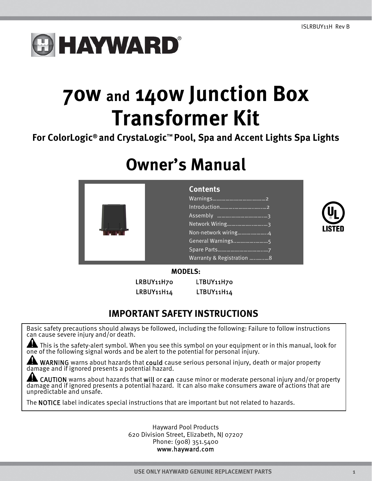# **HAYWARD®**

# **70w and 140w Junction Box Transformer Kit**

**For ColorLogic® and CrystaLogic™ Pool, Spa and Accent Lights Spa Lights** 

## **Owner's Manual**

|  | <b>Contents</b>           |
|--|---------------------------|
|  |                           |
|  | Introduction              |
|  |                           |
|  |                           |
|  | Non-network wiring4       |
|  |                           |
|  |                           |
|  | Warranty & Registration 8 |



#### **MODELS:**

LRBUY11H14 LTBUY11H14

LRBUY11H70 LTBUY11H70

### **IMPORTANT SAFETY INSTRUCTIONS**

Basic safety precautions should always be followed, including the following: Failure to follow instructions can cause severe injury and/or death.

This is the safety-alert symbol. When you see this symbol on your equipment or in this manual, look for one of the following signal words and be alert to the potential for personal injury.

WARNING warns about hazards that could cause serious personal injury, death or major property damage and if ignored presents a potential hazard.

CAUTION warns about hazards that will or can cause minor or moderate personal injury and/or property damage and if ignored presents a potential hazard. It can also make consumers aware of actions that are unpredictable and unsafe.

The NOTICE label indicates special instructions that are important but not related to hazards.

Hayward Pool Products 620 Division Street, Elizabeth, NJ 07207 Phone: (908) 351.5400 www.hayward.com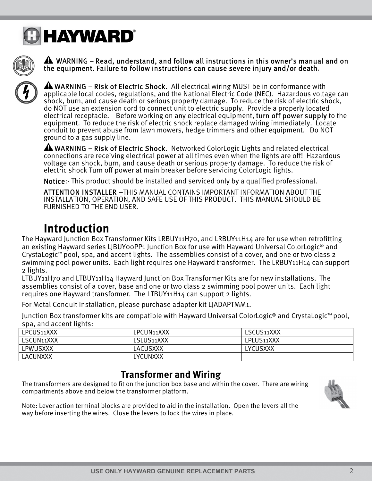



 WARNING – Read, understand, and follow all instructions in this owner's manual and on the equipment. Failure to follow instructions can cause severe injury and/or death.



WARNING – Risk of Electric Shock. All electrical wiring MUST be in conformance with applicable local codes, regulations, and the National Electric Code (NEC). Hazardous voltage can shock, burn, and cause death or serious property damage. To reduce the risk of electric shock, do NOT use an extension cord to connect unit to electric supply. Provide a properly located electrical receptacle. Before working on any electrical equipment, turn off power supply to the equipment. To reduce the risk of electric shock replace damaged wiring immediately. Locate conduit to prevent abuse from lawn mowers, hedge trimmers and other equipment. Do NOT ground to a gas supply line.

WARNING – Risk of Electric Shock. Networked ColorLogic Lights and related electrical connections are receiving electrical power at all times even when the lights are off! Hazardous voltage can shock, burn, and cause death or serious property damage. To reduce the risk of electric shock Turn off power at main breaker before servicing ColorLogic lights.

Notice:- This product should be installed and serviced only by a qualified professional.

ATTENTION INSTALLER –THIS MANUAL CONTAINS IMPORTANT INFORMATION ABOUT THE INSTALLATION, OPERATION, AND SAFE USE OF THIS PRODUCT. THIS MANUAL SHOULD BE FURNISHED TO THE END USER.

### **Introduction**

The Hayward Junction Box Transformer Kits LRBUY11H70, and LRBUY11H14 are for use when retrofitting an existing Hayward series LJBUY00PP1 Junction Box for use with Hayward Universal ColorLogic® and CrystaLogic™ pool, spa, and accent lights. The assemblies consist of a cover, and one or two class 2 swimming pool power units. Each light requires one Hayward transformer. The LRBUY11H14 can support 2 lights.

LTBUY11H70 and LTBUY11H14 Hayward Junction Box Transformer Kits are for new installations. The assemblies consist of a cover, base and one or two class 2 swimming pool power units. Each light requires one Hayward transformer. The LTBUY11H14 can support 2 lights.

For Metal Conduit Installation, please purchase adapter kit LJADAPTMM1.

Junction Box transformer kits are compatible with Hayward Universal ColorLogic® and CrystaLogic™ pool, spa, and accent lights:

| LPCUS11XXX | LPCUN11XXX | LSCUS11XXX |  |  |
|------------|------------|------------|--|--|
| LSCUN11XXX | LSLUS11XXX | LPLUS11XXX |  |  |
| LPWUSXXX   | LACUSXXX   | LYCUSXXX   |  |  |
| LACUNXXX   | LYCUNXXX   |            |  |  |

### **Transformer and Wiring**

The transformers are designed to fit on the junction box base and within the cover. There are wiring compartments above and below the transformer platform.



Note: Lever action terminal blocks are provided to aid in the installation. Open the levers all the way before inserting the wires. Close the levers to lock the wires in place.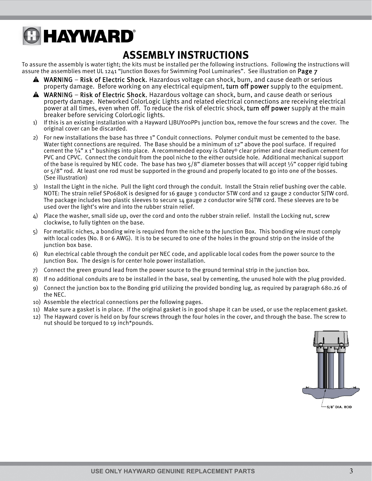# **A HAYWARD**®

### **ASSEMBLY INSTRUCTIONS**

To assure the assembly is water tight; the kits must be installed per the following instructions. Following the instructions will assure the assemblies meet UL 1241 "Junction Boxes for Swimming Pool Luminaries". See illustration on Page 7

- WARNING Risk of Electric Shock. Hazardous voltage can shock, burn, and cause death or serious property damage. Before working on any electrical equipment, turn off power supply to the equipment.
- A WARNING Risk of Electric Shock. Hazardous voltage can shock, burn, and cause death or serious property damage. Networked ColorLogic Lights and related electrical connections are receiving electrical power at all times, even when off. To reduce the risk of electric shock, turn off power supply at the main breaker before servicing ColorLogic lights.
- 1) If this is an existing installation with a Hayward LJBUY00PP1 junction box, remove the four screws and the cover. The original cover can be discarded.
- 2) For new installations the base has three 1" Conduit connections. Polymer conduit must be cemented to the base. Water tight connections are required. The Base should be a minimum of 12" above the pool surface. If required cement the 3/4" x 1" bushings into place. A recommended epoxy is Oatey® clear primer and clear medium cement for PVC and CPVC. Connect the conduit from the pool niche to the either outside hole. Additional mechanical support of the base is required by NEC code. The base has two  $5/8$ " diameter bosses that will accept  $\frac{1}{2}$ " copper rigid tubing or 5/8" rod. At least one rod must be supported in the ground and properly located to go into one of the bosses. (See illustration)
- 3) Install the Light in the niche. Pull the light cord through the conduit. Install the Strain relief bushing over the cable. NOTE: The strain relief SP0680K is designed for 16 gauge 3 conductor STW cord and 12 gauge 2 conductor SJTW cord. The package includes two plastic sleeves to secure 14 gauge 2 conductor wire SJTW cord. These sleeves are to be used over the light's wire and into the rubber strain relief.
- 4) Place the washer, small side up, over the cord and onto the rubber strain relief. Install the Locking nut, screw clockwise, to fully tighten on the base.
- 5) For metallic niches, a bonding wire is required from the niche to the Junction Box. This bonding wire must comply with local codes (No. 8 or 6 AWG). It is to be secured to one of the holes in the ground strip on the inside of the junction box base.
- 6) Run electrical cable through the conduit per NEC code, and applicable local codes from the power source to the Junction Box. The design is for center hole power installation.
- 7) Connect the green ground lead from the power source to the ground terminal strip in the junction box.
- 8) If no additional conduits are to be installed in the base, seal by cementing, the unused hole with the plug provided.
- 9) Connect the junction box to the Bonding grid utilizing the provided bonding lug, as required by paragraph 680.26 of the NEC.
- 10) Assemble the electrical connections per the following pages.
- 11) Make sure a gasket is in place. If the original gasket is in good shape it can be used, or use the replacement gasket.
- 12) The Hayward cover is held on by four screws through the four holes in the cover, and through the base. The screw to nut should be torqued to 19 inch\*pounds.

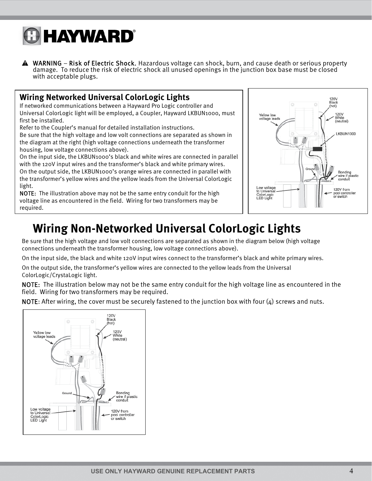

WARNING – Risk of Electric Shock. Hazardous voltage can shock, burn, and cause death or serious property damage. To reduce the risk of electric shock all unused openings in the junction box base must be closed with acceptable plugs.

#### **Wiring Networked Universal ColorLogic Lights**

If networked communications between a Hayward Pro Logic controller and Universal ColorLogic light will be employed, a Coupler, Hayward LKBUN1000, must first be installed.

Refer to the Coupler's manual for detailed installation instructions.

Be sure that the high voltage and low volt connections are separated as shown in the diagram at the right (high voltage connections underneath the transformer housing, low voltage connections above).

On the input side, the LKBUN1000's black and white wires are connected in parallel with the 120V input wires and the transformer's black and white primary wires. On the output side, the LKBUN1000's orange wires are connected in parallel with the transformer's yellow wires and the yellow leads from the Universal ColorLogic light.

NOTE: The illustration above may not be the same entry conduit for the high voltage line as encountered in the field. Wiring for two transformers may be required.



### **Wiring Non-Networked Universal ColorLogic Lights**

Be sure that the high voltage and low volt connections are separated as shown in the diagram below (high voltage connections underneath the transformer housing, low voltage connections above).

On the input side, the black and white 120V input wires connect to the transformer's black and white primary wires.

On the output side, the transformer's yellow wires are connected to the yellow leads from the Universal ColorLogic/CrystaLogic light.

NOTE: The illustration below may not be the same entry conduit for the high voltage line as encountered in the field. Wiring for two transformers may be required.

NOTE: After wiring, the cover must be securely fastened to the junction box with four  $(4)$  screws and nuts.

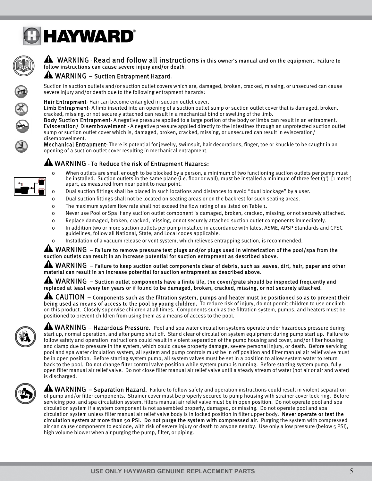



#### A WARNING - Read and follow all instructions in this owner's manual and on the equipment. Failure to follow instructions can cause severe injury and/or death.

#### A WARNING - Suction Entrapment Hazard.

Suction in suction outlets and/or suction outlet covers which are, damaged, broken, cracked, missing, or unsecured can cause severe injury and/or death due to the following entrapment hazards:

Hair Entrapment- Hair can become entangled in suction outlet cover.

Limb Entrapment-A limb inserted into an opening of a suction outlet sump or suction outlet cover that is damaged, broken, cracked, missing, or not securely attached can result in a mechanical bind or swelling of the limb.

Body Suction Entrapment- A negative pressure applied to a large portion of the body or limbs can result in an entrapment. Evisceration/ Disembowelment - A negative pressure applied directly to the intestines through an unprotected suction outlet sump or suction outlet cover which is, damaged, broken, cracked, missing, or unsecured can result in evisceration/ disembowelment.

Mechanical Entrapment- There is potential for jewelry, swimsuit, hair decorations, finger, toe or knuckle to be caught in an opening of a suction outlet cover resulting in mechanical entrapment.

#### AN WARNING - To Reduce the risk of Entrapment Hazards:



- o When outlets are small enough to be blocked by a person, a minimum of two functioning suction outlets per pump must be installed. Suction outlets in the same plane (i.e. floor or wall), must be installed a minimum of three feet (3') [1 meter] apart, as measured from near point to near point.
- o Dual suction fittings shall be placed in such locations and distances to avoid "dual blockage" by a user.
- o Dual suction fittings shall not be located on seating areas or on the backrest for such seating areas.
- o The maximum system flow rate shall not exceed the flow rating of as listed on Table 1.
- o Never use Pool or Spa if any suction outlet component is damaged, broken, cracked, missing, or not securely attached.
- o Replace damaged, broken, cracked, missing, or not securely attached suction outlet components immediately.
- o In addition two or more suction outlets per pump installed in accordance with latest ASME, APSP Standards and CPSC guidelines, follow all National, State, and Local codes applicable.
- o Installation of a vacuum release or vent system, which relieves entrapping suction, is recommended.

 $\blacktriangle$  WARNING  $-$  Failure to remove pressure test plugs and/or plugs used in winterization of the pool/spa from the suction outlets can result in an increase potential for suction entrapment as described above.

AL WARNING – Failure to keep suction outlet components clear of debris, such as leaves, dirt, hair, paper and other material can result in an increase potential for suction entrapment as described above.

AN WARNING – Suction outlet components have a finite life, the cover/grate should be inspected frequently and replaced at least every ten years or if found to be damaged, broken, cracked, missing, or not securely attached.

4 CAUTION – Components such as the filtration system, pumps and heater must be positioned so as to prevent their being used as means of access to the pool by young children. To reduce risk of injury, do not permit children to use or climb on this product. Closely supervise children at all times. Components such as the filtration system, pumps, and heaters must be positioned to prevent children from using them as a means of access to the pool.



**AMARNING** – Hazardous Pressure. Pool and spa water circulation systems operate under hazardous pressure during start up, normal operation, and after pump shut off. Stand clear of circulation system equipment during pump start up. Failure to follow safety and operation instructions could result in violent separation of the pump housing and cover, and/or filter housing and clamp due to pressure in the system, which could cause property damage, severe personal injury, or death. Before servicing pool and spa water circulation system, all system and pump controls must be in off position and filter manual air relief valve must be in open position. Before starting system pump, all system valves must be set in a position to allow system water to return back to the pool. Do not change filter control valve position while system pump is running. Before starting system pump, fully open filter manual air relief valve. Do not close filter manual air relief valve until a steady stream of water (not air or air and water) is discharged.



**AN WARNING** – Separation Hazard. Failure to follow safety and operation instructions could result in violent separation of pump and/or filter components. Strainer cover must be properly secured to pump housing with strainer cover lock ring. Before servicing pool and spa circulation system, filters manual air relief valve must be in open position. Do not operate pool and spa circulation system if a system component is not assembled properly, damaged, or missing. Do not operate pool and spa circulation system unless filter manual air relief valve body is in locked position in filter upper body. Never operate or test the circulation system at more than 50 PSI. Do not purge the system with compressed air. Purging the system with compressed air can cause components to explode, with risk of severe injury or death to anyone nearby. Use only a low pressure (below 5 PSI), high volume blower when air purging the pump, filter, or piping.

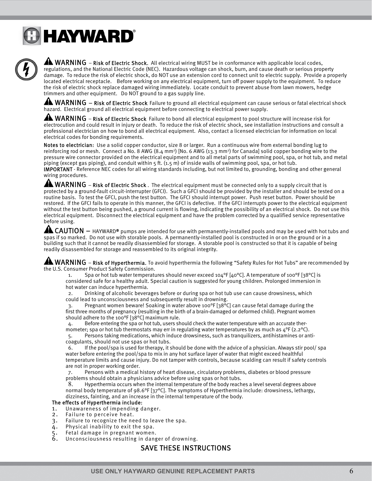# **GHAYWARD®**



**AL WARNING** – Risk of Electric Shock. All electrical wiring MUST be in conformance with applicable local codes, regulations, and the National Electric Code (NEC). Hazardous voltage can shock, burn, and cause death or serious property damage. To reduce the risk of electric shock, do NOT use an extension cord to connect unit to electric supply. Provide a properly located electrical receptacle. Before working on any electrical equipment, turn off power supply to the equipment. To reduce the risk of electric shock replace damaged wiring immediately. Locate conduit to prevent abuse from lawn mowers, hedge trimmers and other equipment. Do NOT ground to a gas supply line.

 $\blacktriangle$  WARNING – Risk of Electric Shock Failure to ground all electrical equipment can cause serious or fatal electrical shock hazard. Electrical ground all electrical equipment before connecting to electrical power supply.

 $\blacktriangle$  WARNING – Risk of Electric Shock Failure to bond all electrical equipment to pool structure will increase risk for electrocution and could result in injury or death. To reduce the risk of electric shock, see installation instructions and consult a professional electrician on how to bond all electrical equipment. Also, contact a licensed electrician for information on local electrical codes for bonding requirements.

Notes to electrician: Use a solid copper conductor, size 8 or larger. Run a continuous wire from external bonding lug to reinforcing rod or mesh. Connect a No. 8 AWG  $(8.4 \text{ mm}^2)$  [No. 6 AWG  $(13.3 \text{ mm}^2)$  for Canada] solid copper bonding wire to the pressure wire connector provided on the electrical equipment and to all metal parts of swimming pool, spa, or hot tub, and metal piping (except gas piping), and conduit within 5 ft. (1.5 m) of inside walls of swimming pool, spa, or hot tub.

IMPORTANT - Reference NEC codes for all wiring standards including, but not limited to, grounding, bonding and other general wiring procedures.

 $\blacktriangle$  WARNING – Risk of Electric Shock . The electrical equipment must be connected only to a supply circuit that is protected by a ground-fault circuit-interrupter (GFCI). Such a GFCI should be provided by the installer and should be tested on a routine basis. To test the GFCI, push the test button. The GFCI should interrupt power. Push reset button. Power should be restored. If the GFCI fails to operate in this manner, the GFCI is defective. If the GFCI interrupts power to the electrical equipment without the test button being pushed, a ground current is flowing, indicating the possibility of an electrical shock. Do not use this electrical equipment. Disconnect the electrical equipment and have the problem corrected by a qualified service representative before using.

 $\triangle$  CAUTION  $-$  HAYWARD® pumps are intended for use with permanently-installed pools and may be used with hot tubs and spas if so marked. Do not use with storable pools. A permanently-installed pool is constructed in or on the ground or in a building such that it cannot be readily disassembled for storage. A storable pool is constructed so that it is capable of being readily disassembled for storage and reassembled to its original integrity.

 $\blacktriangle$  WARNING – Risk of Hyperthermia. To avoid hyperthermia the following "Safety Rules for Hot Tubs" are recommended by the U.S. Consumer Product Safety Commission.

Spa or hot tub water temperatures should never exceed 104°F [40°C]. A temperature of 100°F [38°C] is considered safe for a healthy adult. Special caution is suggested for young children. Prolonged immersion in hot water can induce hyperthermia.

2. Drinking of alcoholic beverages before or during spa or hot tub use can cause drowsiness, which could lead to unconsciousness and subsequently result in drowning.

3. Pregnant women beware! Soaking in water above 100°F [38°C] can cause fetal damage during the first three months of pregnancy (resulting in the birth of a brain-damaged or deformed child). Pregnant women should adhere to the 100°F [38°C] maximum rule.

4. Before entering the spa or hot tub, users should check the water temperature with an accurate thermometer; spa or hot tub thermostats may err in regulating water temperatures by as much as  $4^{\circ}F (2.2^{\circ}C)$ .

5. Persons taking medications, which induce drowsiness, such as tranquilizers, antihistamines or anticoagulants, should not use spas or hot tubs.

6. If the pool/spa is used for therapy, it should be done with the advice of a physician. Always stir pool/ spa water before entering the pool/spa to mix in any hot surface layer of water that might exceed healthful temperature limits and cause injury. Do not tamper with controls, because scalding can result if safety controls are not in proper working order.

7. Persons with a medical history of heart disease, circulatory problems, diabetes or blood pressure problems should obtain a physicians advice before using spas or hot tubs.

8. Hyperthermia occurs when the internal temperature of the body reaches a level several degrees above normal body temperature of 98.6°F [37°C]. The symptoms of Hyperthermia include: drowsiness, lethargy, dizziness, fainting, and an increase in the internal temperature of the body.

#### The effects of Hyperthermia include:

#### 1. Unawareness of impending danger.<br>2. Failure to perceive heat

- Failure to perceive heat.
- 3. Failure to recognize the need to leave the spa.
- 4. Physical inability to exit the spa.
- 5. Fetal damage in pregnant women.<br>6. Unconsciousness resulting in dang
- Unconsciousness resulting in danger of drowning.

#### SAVE THESE INSTRUCTIONS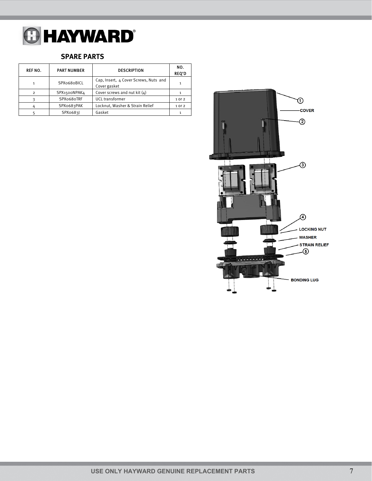

#### **SPARE PARTS**

| <b>REF NO.</b> | <b>PART NUMBER</b> | <b>DESCRIPTION</b>                                    | NO.<br><b>REQ'D</b> |
|----------------|--------------------|-------------------------------------------------------|---------------------|
| 1              | SPX0680BICL        | Cap, Insert, 4 Cover Screws, Nuts and<br>Cover gasket |                     |
| $\mathcal{P}$  | SPX1500NPAK4       | Cover screws and nut kit (4)                          |                     |
|                | SPXo68oTRF         | <b>UCL</b> transformer                                | 1 or 2              |
|                | SPXo683PAK         | Locknut, Washer & Strain Relief                       | 1 or 2              |
|                | SPX0683            | Gasket                                                |                     |